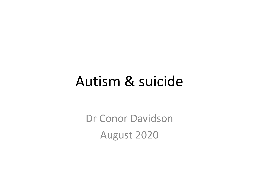## Autism & suicide

Dr Conor Davidson August 2020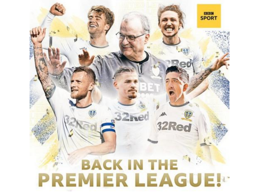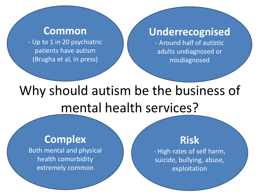### **Common**

- Up to 1 in 20 psychiatric patients have autism (Brugha et al, in press)

### **Underrecognised**

- Around half of autistic adults undiagnosed or misdiagnosed

Why should autism be the business of mental health services?

### **Complex**

Both mental and physical health comorbidity extremely common

### **Risk**

- High rates of self harm, suicide, bullying, abuse, exploitation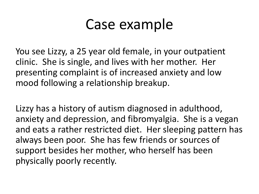## Case example

You see Lizzy, a 25 year old female, in your outpatient clinic. She is single, and lives with her mother. Her presenting complaint is of increased anxiety and low mood following a relationship breakup.

Lizzy has a history of autism diagnosed in adulthood, anxiety and depression, and fibromyalgia. She is a vegan and eats a rather restricted diet. Her sleeping pattern has always been poor. She has few friends or sources of support besides her mother, who herself has been physically poorly recently.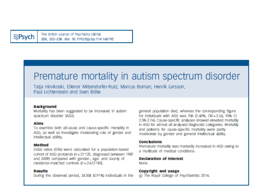The British Journal of Psychiatry (2016) **BJPsych** 208, 232-238. doi: 10.1192/bio.bo.114.160192

### Premature mortality in autism spectrum disorder

Tatja Hirvikoski, Ellenor Mittendorfer-Rutz, Marcus Boman, Henrik Larsson, Paul Lichtenstein and Sven Rölte

#### **Background**

Mortality has been suggested to be increased in autism spectrum disorder (ASD).

#### **Alims**

To examine both all-cause and cause-specific mortality in ASD, as well as investigate moderating role of gender and intellectual ability.

#### Method

Odds ratios (ORs) were calculated for a population-based cohort of ASD probands  $(p = 27122)$ , diagnosed between 1987 and 2009) compared with gender-, age- and county of residence-matched controls  $ln = 2672185$ .

#### **Results**

During the observed period, 24358 (0.91%) individuals in the

general population died, whereas the corresponding figure for individuals with ASD was 706 (2.60%; OR = 2.56; 95% CI 2.38-2.76). Cause-specific analyses showed elevated mortality in ASD for almost all analysed diagnostic categories. Mortality and patterns for cause-specific mortality were partly moderated by gender and general intellectual ability.

#### **Conclusions**

Premature mortality was markedly increased in ASD owing to a multitude of medical conditions.

#### **Declaration of interest**

Nme

#### Copyright and usage

@ The Royal College of Psychiatrists 2016.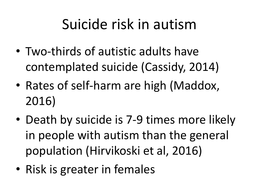## Suicide risk in autism

- Two-thirds of autistic adults have contemplated suicide (Cassidy, 2014)
- Rates of self-harm are high (Maddox, 2016)
- Death by suicide is 7-9 times more likely in people with autism than the general population (Hirvikoski et al, 2016)
- Risk is greater in females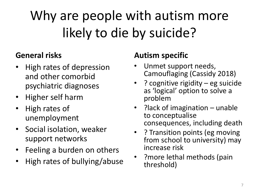## Why are people with autism more likely to die by suicide?

### **General risks**

- High rates of depression and other comorbid psychiatric diagnoses
- Higher self harm
- High rates of unemployment
- Social isolation, weaker support networks
- Feeling a burden on others
- High rates of bullying/abuse

### **Autism specific**

- Unmet support needs, Camouflaging (Cassidy 2018)
- ? cognitive rigidity eg suicide as 'logical' option to solve a problem
- ?lack of imagination unable to conceptualise consequences, including death
- ? Transition points (eg moving from school to university) may increase risk
- ?more lethal methods (pain threshold)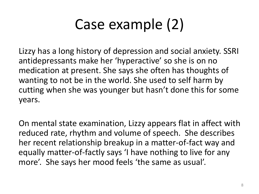# Case example (2)

Lizzy has a long history of depression and social anxiety. SSRI antidepressants make her 'hyperactive' so she is on no medication at present. She says she often has thoughts of wanting to not be in the world. She used to self harm by cutting when she was younger but hasn't done this for some years.

On mental state examination, Lizzy appears flat in affect with reduced rate, rhythm and volume of speech. She describes her recent relationship breakup in a matter-of-fact way and equally matter-of-factly says 'I have nothing to live for any more'. She says her mood feels 'the same as usual'.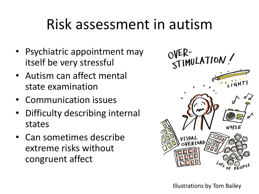## Risk assessment in autism

- Psychiatric appointment may itself be very stressful
- Autism can affect mental state examination
- Communication issues
- Difficulty describing internal states
- Can sometimes describe extreme risks without congruent affect

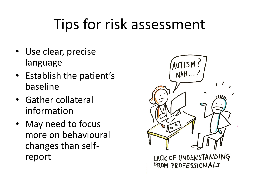## Tips for risk assessment

- Use clear, precise language
- Establish the patient's baseline
- Gather collateral information
- May need to focus more on behavioural changes than selfreport



LACK OF UNDERSTANDING FROM PROFESSIONALS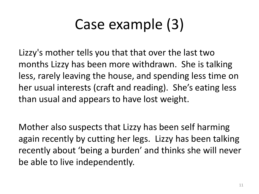# Case example (3)

Lizzy's mother tells you that that over the last two months Lizzy has been more withdrawn. She is talking less, rarely leaving the house, and spending less time on her usual interests (craft and reading). She's eating less than usual and appears to have lost weight.

Mother also suspects that Lizzy has been self harming again recently by cutting her legs. Lizzy has been talking recently about 'being a burden' and thinks she will never be able to live independently.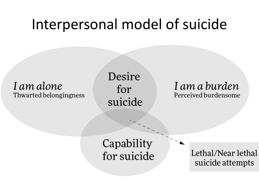## Interpersonal model of suicide

#### I am alone Thwarted belongingness

Desire for suicide

I am a burden Perceived burdensome

Capability for suicide

Lethal/Near lethal suicide attempts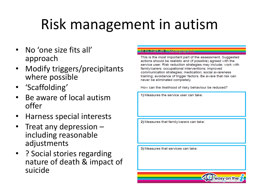# Risk management in autism

- No 'one size fits all' approach
- Modify triggers/precipitants where possible
- 'Scaffolding'
- Be aware of local autism offer
- Harness special interests
- Treat any depression including reasonable adjustments
- ? Social stories regarding nature of death & impact of suicide

#### **SECTION FIVE - Managing risk**

This is the most important part of the assessment. Suggested actions should be realistic and (if possible) agreed with the service user. Risk reduction strategies may include: work with family/carers; occupational interventions; improved communication strategies; medication; social awareness training; avoidance of trigger factors. Be aware that risk can never be eliminated completely.

How can the likelihood of risky behaviour be reduced?

1) Measures the service user can take:

2) Measures that family/carers can take:

3) Measures that services can take:

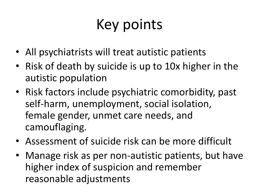# Key points

- All psychiatrists will treat autistic patients
- Risk of death by suicide is up to 10x higher in the autistic population
- Risk factors include psychiatric comorbidity, past self-harm, unemployment, social isolation, female gender, unmet care needs, and camouflaging.
- Assessment of suicide risk can be more difficult
- Manage risk as per non-autistic patients, but have higher index of suspicion and remember reasonable adjustments